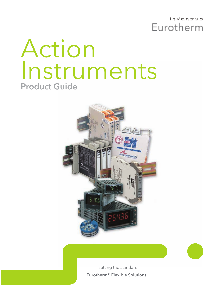invenses Eurotherm

# Action Instruments Product Guide



...setting the standard Eurotherm® Flexible Solutions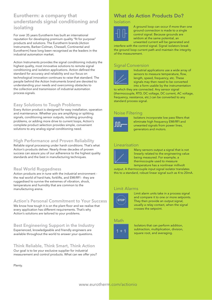### Eurotherm: a company that understands signal conditioning and isolating

For over 35 years Eurotherm has built an international reputation for developing premium quality "fit for purpose" products and solutions. The Eurotherm brands (Action Instruments, Barber-Colman, Chessell, Continental and Eurotherm) have long been recognised as the leaders in the industrial automation market.

Action Instruments provides the signal conditioning industry the highest quality, most innovative solutions to remote signal conditioning and isolation applications. Action defined the standard for accuracy and reliability and our focus on technological innovation continues to raise that standard. The people behind the Action Instruments brand are devoted to understanding your needs and overcoming obstacles to the collection and transmission of industrial automation process signals.

### Easy Solutions to Tough Problems

Every Action product is designed for easy installation, operation and maintenance. Whether you are amplifying or splitting signals, conditioning sensor outputs, isolating grounding problems, or adding more drive to current loops, Action's complete product selection provides simple, convenient solutions to any analog signal conditioning need.

### High Performance and Proven Reliability

Reliable signal processing under harsh conditions. That's what Action's products deliver. Nearly three decades of proven success can assure you of our adherence to the highest quality standards and the best in manufacturing techniques.

### Real World Ruggedness

Action products are in tune with the industrial environment the real world of hard-hats, forklifts, and EMI/RFI - they are ruggedised to survive the extremes of vibration, shock, temperature and humidity that are common to the manufacturing arena.

### Action's Personal Commitment to Your Success

We know how tough it is on the plant floor and we realise that every application has different requirements. That's why

Action's solutions are tailored to your problems.

Best Engineering Support in the Industry Experienced, knowledgeable and friendly engineers are available throughout the world to answer your questions.

### Think Reliable, Think Smart, Think Action

Our goal is to be your exclusive supplier for industrial measurement and control products. What can we offer you?

Plenty.

## What do Action Products Do?

### Isolation



A ground loop can occur if more than one ground connection is made to a single control signal. Because grounds are seldom at the same potential, an unwanted current will be generated and

interfere with the control signal. Signal isolators break the ground loop current path and maintain the integrity of the measurement.

### Signal Conversion



Industrial applications use a wide array of sensors to measure temperature, flow, length, speed, frequency, etc. These signals may then need to be converted into a form usable by the instrumentation

to which they are connected. Any sensor signal (thermocouple, RTD, DC voltage, DC current, AC voltage, frequency, resistance, etc.) can be converted to any standard process signal.

### Noise Filtering



Isolators incorporate low pass filters that eliminate high frequency EMI/RFI and unwanted signals from power lines, generators and motors.

### Linearisation



Many sensors output a signal that is not linearly related to the engineering value being measured. For example, a thermocouple used to measure temperature has a nonlinear millivolt

output. A thermocouple input signal isolator translates this to a standard, robust linear signal such as 4 to 20mA.

### Limit Alarms



Limit alarm units take in a process signal and compare it to one or more setpoints. They then provide an output signal, usually a relay contact, when the signal crosses the setpoint.

### Math



Isolators that can perform addition, subtraction, multiplication, division, square root, and averaging.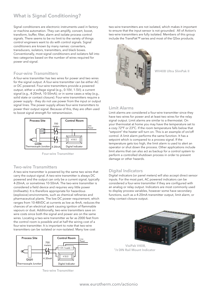## What is Signal Conditioning?

Signal conditioners are electronic instruments used in factory or machine automation. They can amplify, convert, boost, transform, buffer, filter, alarm and isolate process control signals. There seems to be no limit to the variety of things control engineers want to do with control signals. Signal conditioners are known by many names: converters, transducers, isolators, transmitters, and black boxes. Conventionally, most signal conditioners and isolators fall into two categories based on the number of wires required for power and signal.

### Four-wire Transmitters

A four-wire transmitter has two wires for power and two wires for the signal output. A four-wire transmitter can be either AC or DC powered. Four-wire transmitters provide a powered output, either a voltage signal (e.g., 0-10V, 1-5V); a current signal (e.g., 4-20mA, 10-50mA); or in some cases a relay (e.g., solid state or contact closure). Four-wire transmitters require a power supply - they do not use power from the input or output signal lines. The power supply allows four-wire transmitters to power their output signal. Because of this, they are often used to boost signal strength for retransmission.



Four-wire Transmitter

### Two-wire Transmitters

A two-wire transmitter is powered by the same two wires that carry the output signal. A two-wire transmitter is always DC powered and the output can only be a current signal, typically 4-20mA, or sometimes 10-50mA. The two-wire transmitter is considered a field device and requires very little power (milliwatts). It is therefore appropriate for hazardous (explosive) environments, such as chemical refineries and pharmaceutical plants. The low DC power requirement, which ranges from 10-48VDC at currents as low as 4mA, reduces the chances of an electrical spark causing ignition of flammable vapours or dust. Additionally, two-wire transmitters save on wire costs since both the signal and power are on the same wires. Locating a two-wire transmitter as far as 2000 feet from the control room is possible and at half the wiring cost of a four-wire transmitter. It is important to note that two-wire transmitters can be isolated or non-isolated. Many low cost



Two-wire Transmitter

two-wire transmitters are not isolated, which makes it important to ensure that the input sensor is not grounded. All of Action's two-wire transmitters are fully isolated. Members of this group include the TransPak™ series and most of the Q5xx products.



WV408 Ultra SlimPak II

### Limit Alarms

Limit alarms are considered a four-wire transmitter since they have two wires for power and at least two wires for the relay signal output. Limit alarms are similar to a thermostat. On your thermostat at home you may have the temperature set to a cozy 72°F or 23°C. If the room temperature falls below that "setpoint" the heater will turn on. This is an example of on/off control. A limit alarm performs the same function. It has a setpoint which is compared to a process signal. If the temperature gets too high, the limit alarm is used to alert an operator or shut down the process. Other applications include limit alarms that can also act as backup for a control system to perform a controlled shutdown process in order to prevent damage or other hazards.

### Digital Indicators

Digital indicators (or panel meters) will also accept direct sensor inputs. For the most part, AC powered indicators can be considered a four-wire transmitter if they are configured with an analog or relay output. Indicators are most commonly used to display process variables, however some have secondary functions, such as a 4-20mA transmitter output, limit alarm, or relay contact closure output.



VisiPak V408, <sup>1</sup>/<sup>8</sup> DIN Rail Mount Indicator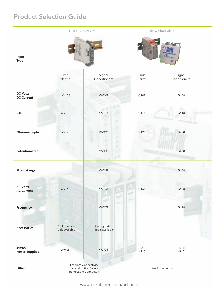## Product Selection Guide

|                                      | Ultra SlimPak™II                                                            |                                  |                         | Ultra SlimPak™         |   |  |
|--------------------------------------|-----------------------------------------------------------------------------|----------------------------------|-------------------------|------------------------|---|--|
| Input<br><b>Type</b>                 |                                                                             |                                  |                         |                        |   |  |
|                                      | Limit<br>Alarms                                                             | Signal<br>Conditioners           | Limit<br>Alarms         | Signal<br>Conditioners |   |  |
| <b>DC Volts</b><br><b>DC Current</b> | WV108                                                                       | WV408                            | G108                    | G408                   |   |  |
| <b>RTD</b>                           | WV118                                                                       | WV418                            | G118                    | G418                   |   |  |
| Thermocouple                         | <b>WV128</b>                                                                | ×<br>s.<br><b>WV428</b><br>٠     | G128                    | G428                   |   |  |
| Potentiometer                        |                                                                             | o<br><b>WV438</b>                |                         | G438                   |   |  |
| <b>Strain Gauge</b>                  |                                                                             | <b>WV448</b>                     | <b>AGTION</b>           | G448                   | × |  |
| <b>AC Volts</b><br><b>AC Current</b> | WV168                                                                       | WV468                            | G168                    | G468                   |   |  |
| Frequency                            |                                                                             | иb<br><b>WV478</b>               | 言語                      | G478                   |   |  |
| <b>Accessories</b>                   | Configuration<br>Tools available                                            | Configuration<br>Tools available |                         |                        |   |  |
| 24VDC<br><b>Power Supplies</b>       | WV905                                                                       | WV905                            | H910<br>H915            | H910<br>H915           |   |  |
| Other                                | <b>Ethernet Connectivity</b><br>PC and Button Setup<br>Removable Connectors |                                  | <b>Fixed Connectors</b> |                        |   |  |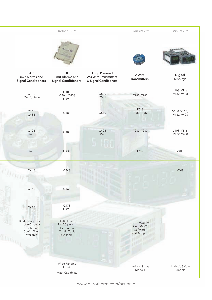|                                                                                  | ActionIQ™                                                                      |                                                                       | TransPak™                                             | VisiPak™                          |
|----------------------------------------------------------------------------------|--------------------------------------------------------------------------------|-----------------------------------------------------------------------|-------------------------------------------------------|-----------------------------------|
|                                                                                  |                                                                                |                                                                       |                                                       |                                   |
| AC<br><b>Limit Alarms and</b><br><b>Signal Conditioners</b>                      | <b>DC</b><br><b>Limit Alarms and</b><br><b>Signal Conditioners</b>             | <b>Loop Powered</b><br>2/3 Wire Transmitters<br>& Signal Conditioners | 2 Wire<br><b>Transmitters</b>                         | <b>Digital</b><br><b>Displays</b> |
| Q106<br>Q403, Q406                                                               | Q108<br>Q404, Q408<br>Q498                                                     | Q500<br>Q501                                                          | T280, T287                                            | V108, V116,<br>V132, V408         |
| Q116<br>Q486                                                                     | Q488                                                                           | Q510                                                                  | T713<br>T280, T287                                    | V108, V116,<br>V132, V408         |
| Q126<br>Q486                                                                     | Q488                                                                           | Q425<br>Q520                                                          | T280, T287                                            | V108, V116,<br>V132, V408         |
| Q436                                                                             | Q438                                                                           |                                                                       | T287                                                  | V408                              |
| Q446                                                                             | Q448                                                                           |                                                                       |                                                       | V408                              |
| Q466                                                                             | Q468                                                                           |                                                                       |                                                       |                                   |
| Q476                                                                             | Q478<br>Q498                                                                   |                                                                       |                                                       |                                   |
| IQRL-2xxx required<br>for AC power<br>distribution.<br>Config Tools<br>available | <b>IQRL-Dxxx</b><br>for DC power<br>distribution.<br>Config Tools<br>available |                                                                       | T287 requires<br>C680-0001<br>Software<br>and Adapter |                                   |
|                                                                                  |                                                                                |                                                                       |                                                       |                                   |
|                                                                                  | Wide Ranging<br>Input<br>Math Capability                                       |                                                                       | Intrinsic Safety<br>Models                            | Intrinsic Safety<br>Models        |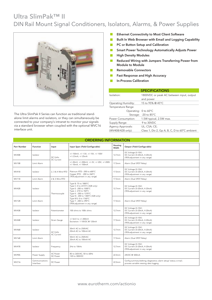## Ultra SlimPak™ II DIN Rail Mount Signal Conditioners, Isolators, Alarms, & Power Supplies



The Ultra SlimPak II Series can function as traditional standalone limit alarms and isolators, or they can simultaneously be connected to your company's intranet to monitor your signals via a standard browser when coupled with the optional WVC16 interface unit.

- Ethernet Connectivity to Most Client Software  $\Box$
- Built In Web Browser with Email and Logging Capability  $\blacksquare$
- PC or Button Setup and Calibration  $\mathcal{C}^{\mathcal{A}}$
- Smart Power Technology Automatically Adjusts Power  $\Box$
- High Density Modules  $\overline{\phantom{a}}$
- Reduced Wiring with Jumpers Transferring Power from **T** Module to Module
- Removable Connectors  $\Box$
- Fast Response and High Accuracy  $\Box$
- In-Process Calibration  $\mathbb{R}^n$

| <b>SPECIFICATIONS</b>            |                                               |  |  |  |
|----------------------------------|-----------------------------------------------|--|--|--|
| Isolation:                       | 1800VDC or peak AC between input, output      |  |  |  |
|                                  | and power                                     |  |  |  |
| Operating Humidity:              | 15 to 95% @ 45°C                              |  |  |  |
| Temperature Range                |                                               |  |  |  |
| Operating: $0$ to 60 $\degree$ C |                                               |  |  |  |
|                                  | Storage: - 20 to 85°C                         |  |  |  |
| Power Consumption:               | 1.5W typical, 2.5W max.                       |  |  |  |
| Supply Range:                    | 9 to 30VDC                                    |  |  |  |
| Agency Approvals:                | UL; CSA; CE;                                  |  |  |  |
| (WV408/428 only):                | Class 1, Div 2, Gp A, B, C, D to 60°C ambient |  |  |  |

|                    | <b>ORDERING INFORMATION</b> |                             |                                                                                                                                                                            |                    |                                                                                                             |  |  |
|--------------------|-----------------------------|-----------------------------|----------------------------------------------------------------------------------------------------------------------------------------------------------------------------|--------------------|-------------------------------------------------------------------------------------------------------------|--|--|
| <b>Part Number</b> | <b>Function</b>             | Input                       | Input Span (Field Configurable)                                                                                                                                            | Housing<br>Width   | Output (Field Configurable)                                                                                 |  |  |
| WV408              | Isolator                    | DC Volts<br>DC Current      | +/-150mV, +/-1.5V, +/-15V, +/-150V<br>$+/-2.5mA, +/-25mA$                                                                                                                  | 12.7mm             | DC Voltage (0-10V)<br>DC Current (0-20mA, 4-20mA)<br>(95% adjustment in any range)                          |  |  |
| WV108              | Limit Alarm                 |                             | +/-20mV, +/-200mV, +/-2V, +/-20V, +/-200V<br>$+/-10mA, +/-100mA$                                                                                                           | 17.5mm             | Alarm (Dual SPDT Relay)                                                                                     |  |  |
| WV418              | Isolator                    | 2. 3 & 4 Wire RTD           | Platinum RTD: - 200 to 600°C<br>Copper RTD: - 200 to 260°C<br>(95% adjustment in any range)                                                                                | 17.5mm             | DC Voltage (0-10V)<br>DC Current (0-20mA, 4-20mA)<br>(95% adjustment in any range)                          |  |  |
| WV118              | Limit Alarm                 | 2 & 3 Wire RTD              |                                                                                                                                                                            | 17.5mm             | Alarm (Dual SPDT Relay)                                                                                     |  |  |
| WV428              | Isolator                    | Thermocouple                | Type B: 75 to 1800°C<br>Type C: 0 to 2315°C (428 only)<br>Type E: - 200 to 1000°C<br>Type J -210 to 760°C<br>Type K: - 200 to 1370°C<br>Type N: - 200 to 1300°C (428 only) | 12.7 <sub>mm</sub> | DC Voltage (0-10V)<br>DC Current (0-20mA, 4-20mA)<br>(95% adjustment in any range)                          |  |  |
| WV128              | Limit Alarm                 |                             | Type R/S: 0 to 1760°C<br>Type T: - 200 to 390°C<br>(95% adjustment in any range)                                                                                           | 17.5mm             | Alarm (Dual SPDT Relay)                                                                                     |  |  |
| WV438              | Isolator                    | Potentiometer               | 100 ohms to 100k ohms                                                                                                                                                      | 12.7 <sub>mm</sub> | DC Voltage (0-10V)<br>DC Current (0-20mA, 4-20mA)<br>(95% adjustment in any range)                          |  |  |
| WV448              | Isolator                    | Strain Gauge                | +/-5mV to +/-200mV<br>Excitation: 1-10VDC @ 120mA                                                                                                                          | 17.5mm             | DC Voltage (0-10V)<br>DC Current (0-20mA, 4-20mA)<br>(95% adjustment in any range)                          |  |  |
| WV468              | Isolator                    | <b>AC Volts</b>             | 50mV AC to 250VAC<br>20mA AC to 100mA AC                                                                                                                                   | 12.7 <sub>mm</sub> | DC Voltage (0-10V)<br>DC Current (0-20mA, 4-20mA)<br>(95% adjustment in any range)                          |  |  |
| WV168              | Limit Alarm                 | <b>AC Current</b>           | 50mV AC to 250VAC<br>20mA AC to 100mA AC                                                                                                                                   | 17.5mm             | Alarm (Dual SPDT Relay)                                                                                     |  |  |
| WV478              | Isolator                    | Frequency                   | 2Hz to 10kHz                                                                                                                                                               | 12.7 <sub>mm</sub> | DC Voltage (0-10V)<br>DC Current (0-20mA, 4-20mA)<br>(95% adjustment in any range)                          |  |  |
| WV905              | Power Supply                | <b>AC</b> Power<br>DC Power | 85 to 265VAC, 50 to 60Hz<br>120 to 300VDC                                                                                                                                  | 22.5mm             | 24VDC@500mA                                                                                                 |  |  |
| WVC16              | Communications<br>Interface | DC Power                    |                                                                                                                                                                            | 22.5mm             | Config summary/editing; diagnostics; alarm setup/ status; e-mail;<br>process variable viewing; data logging |  |  |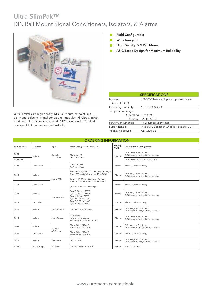## Ultra SlimPak™ DIN Rail Mount Signal Conditioners, Isolators, & Alarms



Ultra SlimPaks are high density, DIN Rail mount, setpoint limit alarm and isolating signal conditioner modules. All Ultra SlimPak modules utilise Action's advanced, ASIC-based design for field configurable input and output flexibility.

- Field Configurable  $\mathbb{R}^3$
- $\mathbb{R}^3$ Wide Ranging
- High Density DIN Rail Mount  $\overline{\mathcal{A}}$
- $\mathcal{L}^{\mathcal{A}}$ ASIC Based Design for Maximum Reliability

| <b>SPECIFICATIONS</b>            |                                         |  |  |  |  |
|----------------------------------|-----------------------------------------|--|--|--|--|
| Isolation:                       | 1800VDC between input, output and power |  |  |  |  |
| (except G438)                    |                                         |  |  |  |  |
| <b>Operating Humidity:</b>       | 15 to 95% @ 45°C                        |  |  |  |  |
| Temperature Range                |                                         |  |  |  |  |
| Operating: 0 to 55°C             |                                         |  |  |  |  |
|                                  | Storage: - 25 to 70°C                   |  |  |  |  |
| Power Consumption:               | 1.5W typical, 2.5W max.                 |  |  |  |  |
| Supply Range:                    | 9 to 30VDC (except G448 is 18 to 30VDC) |  |  |  |  |
| UL: CSA: CE<br>Agency Approvals: |                                         |  |  |  |  |

|                    | <b>ORDERING INFORMATION</b> |                        |                                                                                                                                |                  |                                                                |  |
|--------------------|-----------------------------|------------------------|--------------------------------------------------------------------------------------------------------------------------------|------------------|----------------------------------------------------------------|--|
| <b>Part Number</b> | <b>Function</b>             | Input                  | Input Span (Field Configurable)                                                                                                | Housing<br>Width | Output (Field Configurable)                                    |  |
| G408               | Isolator                    | DC Volts<br>DC Current | 10mV to 100V<br>1mA to 100mA                                                                                                   | 12.6mm           | DC Voltage (0-5V, 0-10V)<br>DC Current (0-1mA, 0-20mA, 4-20mA) |  |
| G408-1001          |                             |                        |                                                                                                                                |                  | DC Voltage (-5 to +5V, -10 to +10V)                            |  |
| G108               | Limit Alarm                 |                        | 10mV to 200V<br>1mA to 100mA                                                                                                   | 17.5mm           | Alarm (Dual SPDT Relay)                                        |  |
| G418               | Isolator                    | 3 Wire RTD             | Platinum: 100, 500, 1000 Ohm with 16 ranges<br>from -200 to 600°C down to -18 to 50°C<br>Copper: 10, 25, 100 Ohm with 9 ranges |                  | DC Voltage (0-5V, 0-10V)<br>DC Current (0-1mA, 0-20mA, 4-20mA) |  |
| G118               | Limit Alarm                 |                        | from -200 to 260°C down to -18 to 50°C<br>(50% adjustment in any range)                                                        | 17.5mm           | Alarm (Dual SPDT Relay)                                        |  |
| G428               | Isolator                    | Thermocouple           | Type B: 500 to 1820°C<br>Type E: - 150 to 1000°C<br>Type J -200 to 750°C                                                       | 12.6mm           | DC Voltage (0-5V, 0-10V)<br>DC Current (0-1mA, 0-20mA, 4-20mA) |  |
| G128               | Limit Alarm                 |                        | Type K: - 200 to 1370°C<br>Type R/S: 50 to 1760C<br>Type T: - 150 to 400C                                                      | 17.5mm           | Alarm (Dual SPDT Relay)                                        |  |
| G438               | Isolator                    | Potentiometer          | 100 ohms to 100k ohms                                                                                                          | 12.6mm           | DC Voltage (0-5V, 0-10V)<br>DC Current (0-1mA, 0-20mA, 4-20mA) |  |
| G448               | Isolator                    | Strain Gauge           | 0 to 200mV<br>+/-5mV to +/-200mV<br>Excitation: 1-10VDC@ 120 mA                                                                | 17.5mm           | DC Voltage (0-5V, 0-10V)<br>DC Current (0-1mA, 0-20mA, 4-20mA) |  |
| G468               | Isolator                    | AC Volts               | 50mV AC to 250VAC<br>50mA AC to 100mA AC                                                                                       | 12.6mm           | DC Voltage (0-5V, 0-10V)<br>DC Current (0-1mA, 0-20mA, 4-20mA) |  |
| G168               | Limit Alarm                 | <b>AC Current</b>      | 50mV AC to 250VAC<br>50mA AC to 100mA AC                                                                                       | 17.5mm           | Alarm (Dual SPDT Relay)                                        |  |
| G478               | Isolator                    | Frequency              | 2Hz to 10kHz                                                                                                                   | 12.6mm           | DC Voltage (0-5V, 0-10V)<br>DC Current (0-1mA, 0-20mA, 4-20mA) |  |
| WV905              | Power Supply                | AC Power               | 100 to 240VAC, 50 to 60Hz                                                                                                      | 22.5mm           | 24VDC@500mA                                                    |  |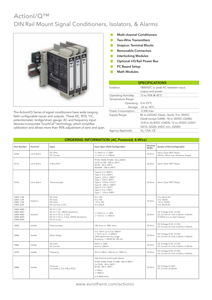## **Action**I/Q™ DIN Rail Mount Signal Conditioners, Isolators, & Alarms



The ActionI/Q Series of signal conditioners have wide ranging field configurable inputs and outputs. These DC, RTD, T/C, potentiometer, bridge/strain gauge, AC and frequency input devices incorporate TouchCal™technology, which simplifies<br>calibration and allows more than 90% adjustment of zero and span.

- **Multi-channel Conditioners** T.
- **Two-Wire Transmitters**  $\mathcal{C}_{\mathcal{A}}$
- **SnapLoc Terminal Blocks**  $\blacksquare$
- Removable Connectors  $\overline{\phantom{a}}$
- $\Box$ **Interlocking Modules**
- Optional I/Q Rail Power Bus п
- **PC Based Setup**  $\sim$
- **Math Modules** m,

| <b>SPECIFICATIONS</b>            |                                            |  |  |  |
|----------------------------------|--------------------------------------------|--|--|--|
| Isolation:                       | 1800VDC or peak AC between input,          |  |  |  |
|                                  | output and power                           |  |  |  |
| Operating Humidity:              | 15 to 95% @ 45°C                           |  |  |  |
| Temperature Range                |                                            |  |  |  |
| Operating: $0$ to 55 $\degree$ C |                                            |  |  |  |
|                                  | Storage: - 25 to 70°C                      |  |  |  |
| Power Consumption:               | 2.5W max.                                  |  |  |  |
| Supply Range:                    | 85 to 265VAC (Qxx6, Qxx3); 9 to 30VDC      |  |  |  |
|                                  | (Qxx8 except Q448); 18 to 30VDC (Q448);    |  |  |  |
|                                  | 10.8 to 26.8VDC (Q404); 12 to 35VDC (Q501, |  |  |  |
|                                  | Q510, Q520): 6VDC min. (Q500)              |  |  |  |
| Agency Approvals:                | UL; CSA; CE                                |  |  |  |

| <b>ORDERING INFORMATION (AC Powered, 4-Wire)</b>              |             |                                                                                                                                      |                                                                                                                                                                                                                           |                  |                                                                                                |
|---------------------------------------------------------------|-------------|--------------------------------------------------------------------------------------------------------------------------------------|---------------------------------------------------------------------------------------------------------------------------------------------------------------------------------------------------------------------------|------------------|------------------------------------------------------------------------------------------------|
| <b>Part Number</b>                                            | Function    | Input                                                                                                                                | Input Span (Field Configurable)                                                                                                                                                                                           | Housing<br>Width | Output (Field Configurable)                                                                    |
| Q106                                                          | Limit Alarm | DC Volts<br>DC Current                                                                                                               | +/-10mV to +/-200V<br>$+/-1$ mA to $+/-100$ mA                                                                                                                                                                            | 22.3mm           | Alarm (Dual SPDT Relay)<br>24VDC, 20mA max. Excitation Supply                                  |
| Q116                                                          | Limit Alarm | 3 Wire RTD                                                                                                                           | Pt100, Pt500, Pt1000: - 50 to 850°C<br>Cu10, Cu100: - 200 to 260°C<br>Ni120: -30 to 320°C<br>NiFe604: - 200 to 240°C                                                                                                      | 22.3mm           | Alarm (Dual SPDT Relay)                                                                        |
| Q126                                                          | Limit Alarm | Thermocouple                                                                                                                         | Type B: 0 to 1820°C<br>Type C: 0 to 2320°C<br>Type E: - 270 to 1000°C<br>Type J -210 to 760°C<br>Type K: -270 to 1372°C<br>Type N: - 200 to 1300°C<br>Type R: 0 to 1760°C<br>Type S: 0 to 1750°C<br>Type T: -270 to 390°C | 22.3mm           | Alarm (Dual SPDT Relay)                                                                        |
| Q403-1L08<br>Q403-1L09<br>Q403-1L28<br>Q403-2L00              | Isolators   | DC Volts<br>DC Volts<br>DC Volts<br>DC Current (2 Ch)                                                                                | 0 to 10V<br>0 to 10V<br>-10 to 10V<br>4 to 20mA                                                                                                                                                                           | 22.3mm           | 4 to 20mA DC<br>0 to 10VDC<br>-10 to 10VDC<br>4 to 20mA DC                                     |
| Q406-A000<br>Q406-A001<br>Q406-A002<br>Q406-A003<br>Q406-A004 | Isolators   | DC VI (1 Ch)<br>DC VI (1 Ch, 24VDC Excitation)<br>DC VI (1 Ch In; 2 Out)<br>DC VI (1 Ch In; 2 Out, 24VDC Excitation)<br>DC VI (2 Ch) | +/-10mV to +/-100V<br>$+/-1$ mA to $+/-100$ mA                                                                                                                                                                            | 22.3mm           | DC Voltage (0-5V, 0-10V)<br>DC Current (0-1mA, 0-20mA, 4-20mA)<br>(0-20mA n/a on dual outputs) |
| Q436                                                          | Isolato     | Potentiometer                                                                                                                        | 100 ohms to 100k ohms                                                                                                                                                                                                     | 22.3mm           | DC Voltage (0-5V, 0-10V)<br>DC Current (0-1mA, 0-20mA, 4-20mA)                                 |
| Q446                                                          | Isolato     | Strain Gauge                                                                                                                         | 0 to 10mV up to 0 to 200mV<br>+/-5mV up to +/-200mV<br>(50% adjustment any range)<br>Excitation: 1-10VDC @ 120 mA                                                                                                         | 22.3mm           | DC Voltage (0-5V, 0-10V)<br>DC Current (0-1mA, 0-20mA, 4-20mA)                                 |
| Q466                                                          | Isolato     | AC Volts<br><b>AC Current</b>                                                                                                        | 50mV to 300V<br>5mA to 100mA                                                                                                                                                                                              | 22.3mm           | DC Voltage (0-5V, 0-10V)<br>DC Current (0-1mA, 0-20mA, 4-20mA)                                 |
| Q476                                                          | Isolato     | Frequency                                                                                                                            | 2Hz to 10kHz, 150mVp to 150Vrms                                                                                                                                                                                           | 22.3mm           | DC Voltage (0-5V, 0-10V)<br>DC Current (0-1mA, 0-20mA, 4-20mA)                                 |
| Q486                                                          | Isolato     | Universal<br>(includes 2, 3 & 4 Wire RTD)                                                                                            | (See thermocouple types above)<br>Pt100, Pt200, Pt500, Pt1000: - 200 to 850°C<br>Cu-9.035: -40 to 260°C<br>Ni120: - 80 to 320°C<br>$+/90mV$<br>$+/900mV$<br>0 to 4000 ohms                                                | 22.3mm           | DC Voltage (0-10V)<br>DC Current (0-20mA)                                                      |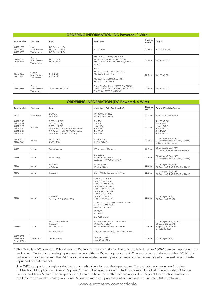| ORDERING INFORMATION (DC Powered, 2-Wire) |  |
|-------------------------------------------|--|

| Part Number                         | <b>Function</b>                        | Input                                                       | Input Span                                                                                                                                | Housing<br>Width | Output              |
|-------------------------------------|----------------------------------------|-------------------------------------------------------------|-------------------------------------------------------------------------------------------------------------------------------------------|------------------|---------------------|
| Q500-1B00<br>Q500-2B00<br>Q500-4B00 | Input<br>Loop Powered<br>Transmitters  | DC Current (1 Ch)<br>DC Current (2 Ch)<br>DC Current (4 Ch) | 0(4) to 20mA                                                                                                                              | 22.3mm           | $0(4)$ to $20mA$ DC |
| Q501-1Bxx<br>Q501-2Bxx              | Output<br>Loop Powered<br>Transmitters | DC VI (1 Ch)<br>DC VI (2 Ch)                                | 0 to 1mA, 0 to 20mA, 4 to 20mA<br>0 to 50mV, 0 to 100mV, 0 to 500mV<br>0 to 1V, 0 to 5V, 1 to 5V, 0 to 10V, 0 to 100V<br>$+/-10V$         | 22.3mm           | 4 to 20mA DC        |
| Q510-0Bxx<br>Q510-4Bxx              | Output<br>Loop Powered<br>Transmitters | RTD (2 Ch)<br>RTD (4 Ch)                                    | Pt100:<br>0 to 100°C, 0 to 150°C, 0 to 200°C,<br>0 to 250°C, 0 to 500°C<br>0 to 200°F, 0 to 300°F, 0 to 400°F,<br>0 to 500°F, 0 to 1000°F | 22.3mm           | 4 to 20mA DC        |
| Q520-0Bxx                           | Output<br>Loop Powered<br>Transmitter  | Thermocouple (2Ch)                                          | Type J 0 to 500°F, 0 to 1000°F, 0 to 500°C<br>Type K: 0 to 500°F, 0 to 2000°F, 0 to 1000°C<br>Type T: 0 to 500°F, 0 to 250°C              | 22.3mm           | 4 to 20mA DC        |

|                                                                            | <b>ORDERING INFORMATION (DC Powered, 4-Wire)</b> |                                                                                                                                                                         |                                                                                                                                                                                                                                                                                                                                                                        |                  |                                                                                                  |  |
|----------------------------------------------------------------------------|--------------------------------------------------|-------------------------------------------------------------------------------------------------------------------------------------------------------------------------|------------------------------------------------------------------------------------------------------------------------------------------------------------------------------------------------------------------------------------------------------------------------------------------------------------------------------------------------------------------------|------------------|--------------------------------------------------------------------------------------------------|--|
| Part Number                                                                | <b>Function</b>                                  | Input                                                                                                                                                                   | Input Span (Field Configurable)                                                                                                                                                                                                                                                                                                                                        | Housing<br>Width | Output (Field Configurable)                                                                      |  |
| Q108                                                                       | Limit Alarm                                      | DC Volts<br>DC Current                                                                                                                                                  | +/-10mV to +/-200V<br>$+/-1mA$ to $+/-100mA$                                                                                                                                                                                                                                                                                                                           | 22.3mm           | Alarm (Dual SPDT Relay)                                                                          |  |
| Q404-2L08<br>Q404-2L09<br>Q404-2L28<br>Q404-3L00<br>Q404-3L01<br>Q404-4L00 | Isolators                                        | DC Volts (2 Ch)<br>DC Volts (2 Ch)<br>DC Volts (2 Ch)<br>DC Current (1 Ch, 24 VDC Excitation)<br>DC Current (1 Ch, 24 VDC Excitation)<br>DC Current (1 Ch In; 2 Ch Out) | 0 to 10V<br>0 to 10V<br>-10 to 10V<br>4 to 20mA<br>4 to 20mA<br>4 to 20mA                                                                                                                                                                                                                                                                                              | 22.3mm           | 4 to 20mA DC<br>0 to 10VDC<br>-10 to 10VDC<br>4 to 20mA DC<br>0 to 10VDC<br>4 to 20mA DC         |  |
| Q408-A000<br>Q408-A004                                                     | Isolator                                         | DC VI (1 Ch)<br>DC VI (2 Ch)                                                                                                                                            | 10mV to 100V<br>1mA to 100mA                                                                                                                                                                                                                                                                                                                                           | 22.3mm           | DC Voltage (0-5V, 0-10V)<br>DC Current (0-1mA, 0-20mA, 4-20mA)<br>(0-20mA on A000 only)          |  |
| Q438                                                                       | Isolato                                          | Potentiometer                                                                                                                                                           | 100 ohms to 100k ohms                                                                                                                                                                                                                                                                                                                                                  | 22.3mm           | DC Voltage (0-5V, 0-10V)<br>DC Current (0-1mA, 0-20mA, 4-20mA)                                   |  |
| Q448                                                                       | Isolato                                          | Strain Gauge                                                                                                                                                            | 0 to 200mV<br>+/-5mV to +/-200mV<br>Excitation: 1-10VDC@ 120 mA                                                                                                                                                                                                                                                                                                        | 22.3mm           | DC Voltage (0-5V, 0-10V)<br>DC Current (0-1mA, 0-20mA, 4-20mA)                                   |  |
| Q468                                                                       | Isolato                                          | <b>AC Volts</b><br><b>AC Current</b>                                                                                                                                    | 100mV to 300V<br>10mA to 100mA                                                                                                                                                                                                                                                                                                                                         | 22.3mm           | DC Voltage (0-5V, 0-10V)<br>DC Current (0-1mA, 0-20mA, 4-20mA)                                   |  |
| Q478                                                                       | Isolato                                          | Frequency                                                                                                                                                               | 2Hz to 10kHz, 150mVp to 150Vrms                                                                                                                                                                                                                                                                                                                                        | 22.3mm           | DC Voltage (0-5V, 0-10V)<br>DC Current (0-1mA, 0-20mA, 4-20mA)                                   |  |
| Q488                                                                       | Isolato                                          | Universal<br>(includes 2, 3 & 4 Wire RTD)                                                                                                                               | Type B: 0 to 1820°C<br>Type C: 0 to 2320°C<br>Type E: - 270 to 1000°C<br>Type J -210 to 760°C<br>Type K: -270 to 1372°C<br>Type N: - 200 to 1300°C<br>Type R: 0 to 1760°C<br>Type S: 0 to 1750°C<br>Type T: -270 to 390°C<br>Pt100, Pt200, Pt500, Pt1000: - 200 to 850°C<br>Cu-9.035: -40 to 260°C<br>Ni120: - 80 to 320°C<br>$+/90mV$<br>$+/-900mV$<br>0 to 4000 ohms | 22.3mm           | DC Voltage (0-10V)<br>DC Current (0-20mA)                                                        |  |
| Q498*                                                                      | Isolato                                          | DC VI (2 Ch, Isolated)<br>Frequency<br>Discrete (to 18V)<br>Math Functions                                                                                              | +/-150mV, +/-1.5V, +/-15V, +/-150V<br>$+/-2.5mA, +/-25mA$<br>2Hz to 10kHz, 150mVp to 150Vrms<br>Add, Subtract, Multiply, Divide, Square Root                                                                                                                                                                                                                           | 22.3mm           | DC Voltage (0-10V, +/-10V)<br>DC Current (0-20mA)<br>Frequency (0 to 10kHz)<br>Discrete (to 18V) |  |
| Q425-0B01<br>Q425-0B03<br>(both 3-Wire)                                    | Transmitter                                      | Thermocouple                                                                                                                                                            | Type J 0 to 500°F<br>Type J 0 to 500°C                                                                                                                                                                                                                                                                                                                                 | 22.3mm           | DC Voltage (0-10V)                                                                               |  |

\* The Q498 is a DC powered, DIN rail mount, DC input signal conditioner. The unit is fully isolated to 1800V between input, out put and power. Two isolated analog inputs each accept either a DC voltage or current. One analog output delivers either DC bipolar voltage or unipolar current. The Q498 also has a separate frequency input channel and a frequency output, as well as a discrete input and output channel.

The Q498 can perform single or double input math calculations on the input values. The available operators are Addition, Subtraction, Multiplication, Division, Square Root and Average. Process control functions include Hi/Lo Select, Rate of Change Limiter, and Track & Hold. The frequency input can also have the math functions applied. A 25-point Linearisation function is available for Channel 1 Analog input only. All output math and process control functions require C698-0000 software.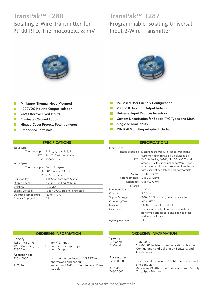## TransPak™ T280 Isolating 2-Wire Transmitter for

Pt100 RTD, Thermocouple, & mV



- Miniature, Thermal-Head Mounted  $\overline{\phantom{a}}$
- 1000VDC Input to Output Isolation m.
- Cost Effective Fixed Inputs  $\overline{\phantom{a}}$
- Eliminates Ground Loops  $\Box$
- Hinged Cover Protects Potentiometers

Thermocouple: B, E, J, K, L, N, R, S, T

 $mV: 100mV$  max

Supply Voltage: 10 to 40VDC, polarity protected

Thermocouple: 5mV min. span

Isolation: 1000VDC

Agency Approvals: CE

Operating Temperature: -20 to +70°C

RTD: Pt-100, 2-wire or 3-wire

SPECIFICATIONS

RTD: 20°C min. 500°C max. mV: 5mV min. span Adjustability:  $±15%$  for both zero & span Output Span: 4-20mA, limiting @ <28mA

Embedded Terminals

Input Types

Input Span

## TransPak™ T287 Programmable Isolating Universal Input 2-Wire Transmitter



- **C** PC Based User Friendly Configuration
- 2000VDC Input to Output Isolation
- m. Universal Input Reduces Inventory
- Custom Linearisation for Special T/C Types and Math
- Single or Dual Inputs
- DIN Rail Mounting Adapter Included

### **SPECIFICATIONS**

### Input Types Thermocouples: Most standard types & all special types using customer defined tables & polynomials RTD: 2-, 3- & 4-wire, Pt-100, Ni-110, Ni-120 and other RTDs. Includes Callandar-Van-Dusen adaptation and custom sensors Linearisation with user defined tables and polynomials DC mV: -10 to 100mV Potentiometers: 0 to 20k Ohms Resistance: 0 to 400 Ohms Infrared Minimum Range: 2mV Output: 4-20mA Supply Voltage: 9-40VDC @ no load, polarity protected Operating Temp: -40 to 85°C Isolation: 2000VDC, input to output Calibration: Unit includes all calibration parameters, performs periodic zero and span self-test, and auto calibration Agency Approvals: CE

|                                                                           | <b>ORDERING INFORMATION</b>                                                                         | <b>ORDERING INFORMATION</b>        |                                                                                                                        |  |  |
|---------------------------------------------------------------------------|-----------------------------------------------------------------------------------------------------|------------------------------------|------------------------------------------------------------------------------------------------------------------------|--|--|
| Specify:<br>T280-1xxx-C (F):<br>T280-2xxx- [tc type] C (F):<br>T280-3xxx: | for RTD Input<br>for thermocouple Input<br>for mV Input                                             | Specify:<br>1. Model:<br>2. Model: | T287-0000<br>C680-0001 Isolated Communications Adapter,<br>Configuration and Calibration Software, and<br>User's Guide |  |  |
| Accessories:<br>T25H-0000:<br>AP9046:                                     | Headmount enclosure - 1/2 NPT for<br>thermowell and conduit.<br>ActionPak 24/40VDC, 65mA Loop Power | Accessories:<br>T25H-0000:         | Headmount enclosure - 1/2 NPT for thermowell<br>and conduit                                                            |  |  |

AP9046: ActionPak 24/40VDC, 65mA Loop Power Supply<br>C680-0002: Zero/Span Trimmer Zero/Span Trimmer

Supply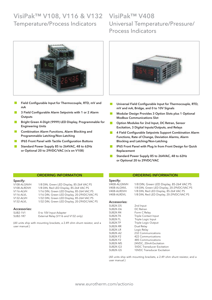## VisiPak™ V108, V116 & V132 VisiPak™ V408 Temperature/Process Indicators



- $\Box$ Field Configurable Input for Thermocouple, RTD, mV and mA
- 3 Field Configurable Alarm Setpoints with 1 or 2 Alarm **The State Outputs**
- Bright Green 4-Digit (9999) LED Display, Programmable for  $\mathcal{L}^{\mathcal{L}}$ Engineering Units
- $\mathcal{C}^{\mathcal{A}}$ Combination Alarm Functions, Alarm Blocking and Programmable Latching/Non-Latching
- IP65 Front Panel with Tactile Configuration Buttons H
- Standard Power Supply 85 to 264VAC, 48 to 62Hz **Tale** or Optional 20 to 29VDC/VAC (n/a on V108)

## Universal Temperature/Pressure/ Process Indicators



- П Universal Field Configurable Input for Thermocouple, RTD, mV and mA, Bridge, and 0 to 10V Signals
- m. Modular Design Provides 3 Option Slots plus 1 Optional Modbus Communications Slot
- Option Modules for 2nd Input, DC Retran, Sensor Excitation, 3 Digital Inputs/Outputs, and Relays
- 4 Field Configurable Setpoints Support Combination Alarm m, Functions, Rate of Change, Deviation Alarms, Alarm Blocking and Latching/Non-Latching
- IP65 Front Panel with Plug In from Front Design for Quick  $\mathcal{C}^{\mathcal{A}}$ Replacement
- Standard Power Supply 85 to 264VAC, 48 to 62Hz or Optional 20 to 29VDC/VAC

### Spocify:

| ----- <i>.</i> . |                                              |
|------------------|----------------------------------------------|
| V108-ALGNVH      | 1/8 DIN, Green LED Display, 85-264 VAC PS    |
| V108-ALRDVH      | 1/8 DIN, Red LED Display, 85-264 VAC PS      |
| V116-ALVH        | 1/16 DIN, Green LED Display, 85-264 VAC PS   |
| V116-ALVL        | 1/16 DIN, Green LED Display, 20-29VDC/VAC PS |
| V132-ALVH        | 1/32 DIN, Green LED Display, 85-264 VAC PS   |
| V132-ALVL        | 1/32 DIN, Green LED Display, 20-29VDC/VAC PS |
|                  |                                              |

ORDERING INFORMATION

### Accessories:

SUB2-1V1 0 to 10V Input Adapter<br>SUB2-1R7 External Relay (V116 an External Relay (V116 and V132 only)

(All units ship with mounting brackets, a 2.49 ohm shunt resistor, and a user manual.)

### ORDERING INFORMATION

Specify: V408-ALGNVH 1/8 DIN, Green LED Display, 85-264 VAC PS

V408-ALGNVL 1/8 DIN, Green LED Display, 20-29VDC/VAC PS V408-ALRDVH 1/8 DIN, Red LED Display, 85-264 VAC PS V408-ALRDVL 1/8 DIN, Red LED Display, 20-29VDC/VAC PS

### Accessories:

| 2nd Input                          |
|------------------------------------|
| DC Retran                          |
| Form C Relay                       |
| Triple Contact Input               |
| Triple Logic Input                 |
| Triple Logic Output                |
| Dual Relay                         |
| Logic Relay                        |
| 232 Communications                 |
| 422 Communications                 |
| 485 Communications                 |
| 24VDC, 20mA Excitation             |
| <b>5VDC Transducer Excitation</b>  |
| <b>10VDC Transducer Excitation</b> |
|                                    |

(All units ship with mounting brackets, a 2.49 ohm shunt resistor, and a user manual.)